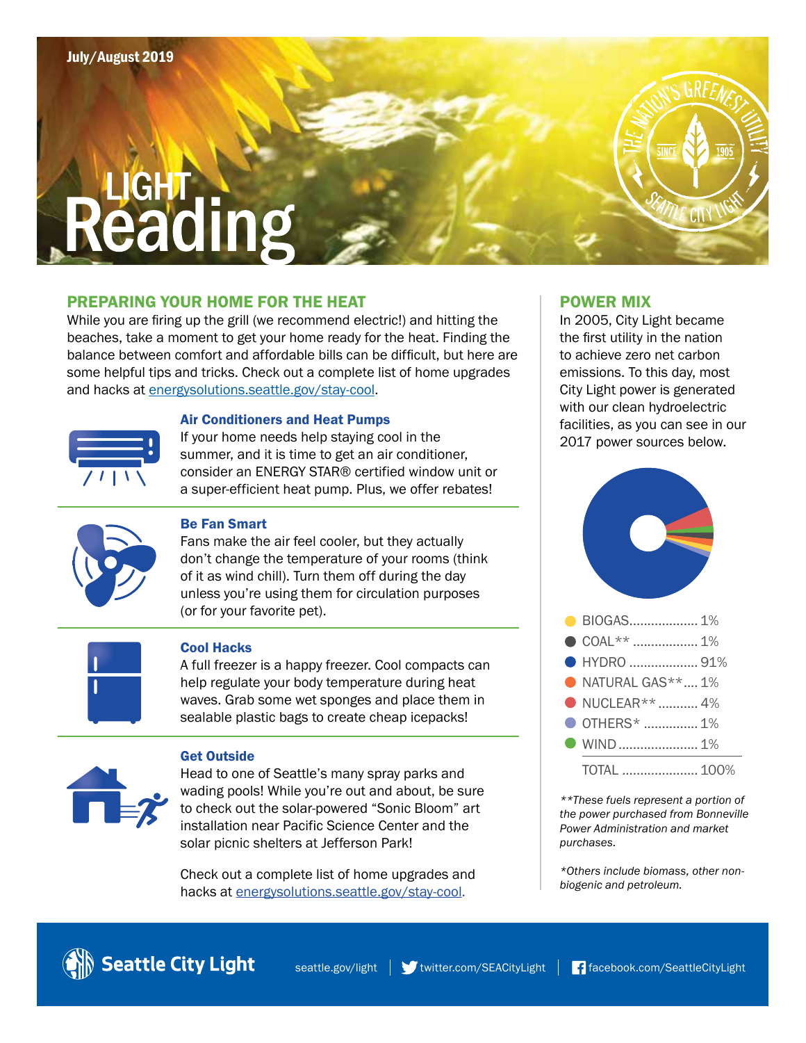# **JGHT** eading

## PREPARING YOUR HOME FOR THE HEAT

While you are firing up the grill (we recommend electric!) and hitting the beaches, take a moment to get your home ready for the heat. Finding the balance between comfort and affordable bills can be difficult, but here are some helpful tips and tricks. Check out a complete list of home upgrades and hacks at [energysolutions.seattle.gov/stay-cool.](https://energysolutions.seattle.gov/stay-cool)



#### Air Conditioners and Heat Pumps

If your home needs help staying cool in the summer, and it is time to get an air conditioner, consider an ENERGY STAR® certified window unit or a super-efficient heat pump. Plus, we offer rebates!



#### Be Fan Smart

Fans make the air feel cooler, but they actually don't change the temperature of your rooms (think of it as wind chill). Turn them off during the day unless you're using them for circulation purposes (or for your favorite pet).



#### Cool Hacks

A full freezer is a happy freezer. Cool compacts can help regulate your body temperature during heat waves. Grab some wet sponges and place them in sealable plastic bags to create cheap icepacks!



#### Get Outside

Head to one of Seattle's many spray parks and wading pools! While you're out and about, be sure to check out the solar-powered "Sonic Bloom" art installation near Pacific Science Center and the solar picnic shelters at Jefferson Park!

**Check out a complete list of home upgrades and**  $\begin{array}{c} \star$ **Others include biomass because the contract of and petroleum.** hacks at [energysolutions.seattle.gov/stay-cool.](https://energysolutions.seattle.gov/stay-cool)

#### POWER MIX

In 2005, City Light became the first utility in the nation to achieve zero net carbon emissions. To this day, most City Light power is generated with our clean hydroelectric facilities, as you can see in our 2017 power sources below.



*\*\*These fuels represent a portion of the power purchased from Bonneville Power Administration and market purchases.*

*\*Others include biomass, other non-*

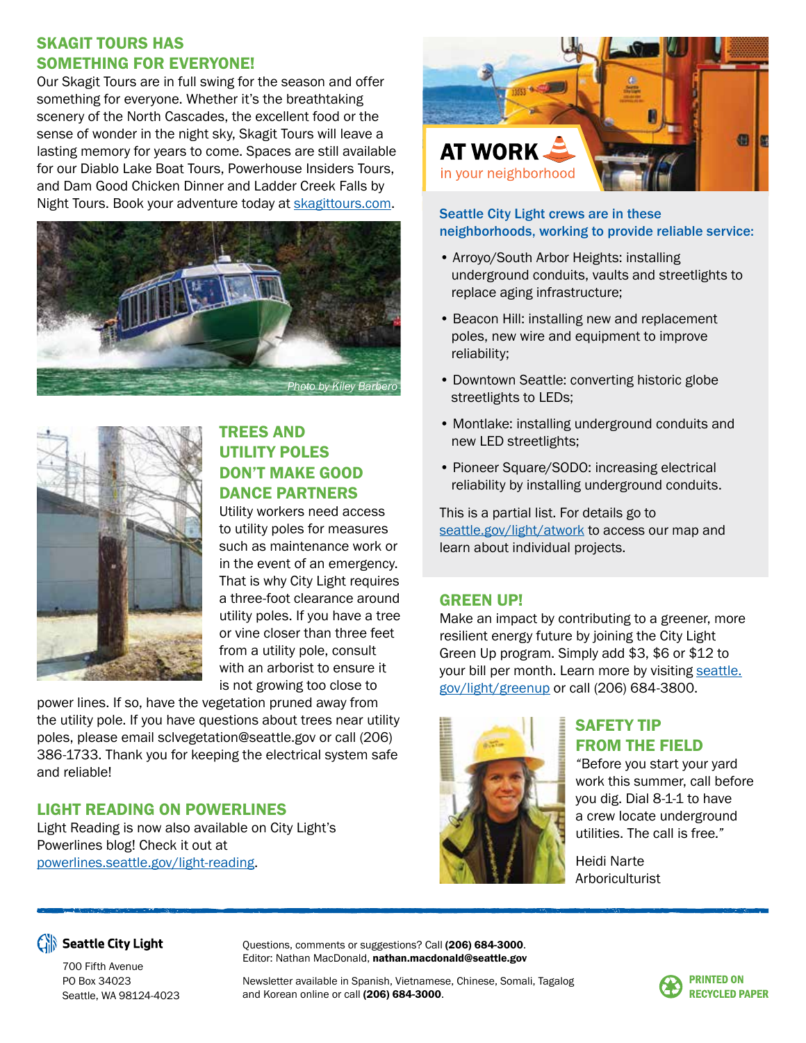# SKAGIT TOURS HAS SOMETHING FOR EVERYONE!

Our Skagit Tours are in full swing for the season and offer something for everyone. Whether it's the breathtaking scenery of the North Cascades, the excellent food or the sense of wonder in the night sky, Skagit Tours will leave a lasting memory for years to come. Spaces are still available for our Diablo Lake Boat Tours, Powerhouse Insiders Tours, and Dam Good Chicken Dinner and Ladder Creek Falls by Night Tours. Book your adventure today at [skagittours.com.](http://www.skagittours.com)





# TREES AND UTILITY POLES DON'T MAKE GOOD DANCE PARTNERS

Utility workers need access to utility poles for measures such as maintenance work or in the event of an emergency. That is why City Light requires a three-foot clearance around utility poles. If you have a tree or vine closer than three feet from a utility pole, consult with an arborist to ensure it is not growing too close to

power lines. If so, have the vegetation pruned away from the utility pole. If you have questions about trees near utility poles, please email sclvegetation@seattle.gov or call (206) 386-1733. Thank you for keeping the electrical system safe and reliable!

# LIGHT READING ON POWERLINES

Light Reading is now also available on City Light's Powerlines blog! Check it out at [powerlines.seattle.gov/light-reading.](http://www.powerlines.seattle.gov/light-reading)



#### Seattle City Light crews are in these neighborhoods, working to provide reliable service:

- Arroyo/South Arbor Heights: installing underground conduits, vaults and streetlights to replace aging infrastructure;
- Beacon Hill: installing new and replacement poles, new wire and equipment to improve reliability;
- Downtown Seattle: converting historic globe streetlights to LEDs;
- Montlake: installing underground conduits and new LED streetlights;
- Pioneer Square/SODO: increasing electrical reliability by installing underground conduits.

This is a partial list. For details go to [seattle.gov/light/atwork](http://www.seattle.gov/light/atwork) to access our map and learn about individual projects.

## GREEN UP!

Make an impact by contributing to a greener, more resilient energy future by joining the City Light Green Up program. Simply add \$3, \$6 or \$12 to your bill per month. Learn more by visiting [seattle.](http://www.seattle.gov/light/greenup) [gov/light/greenup](http://www.seattle.gov/light/greenup) or call (206) 684-3800.



# SAFETY TIP FROM THE FIELD

*"*Before you start your yard work this summer, call before you dig. Dial 8-1-1 to have a crew locate underground utilities. The call is free*."* 

Heidi Narte Arboriculturist



Seattle City Light

700 Fifth Avenue PO Box 34023 Seattle, WA 98124-4023 Questions, comments or suggestions? Call (206) 684-3000. Editor: Nathan MacDonald, nathan.macdonald@seattle.gov

Newsletter available in Spanish, Vietnamese, Chinese, Somali, Tagalog and Korean online or call (206) 684-3000.

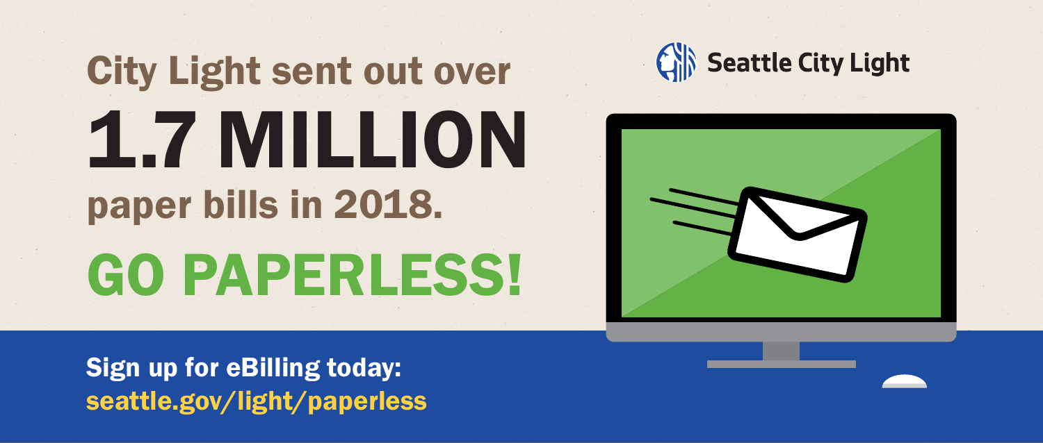# City Light sent out over 1.7 MILLION paper bills in 2018. GO PAPERLESS!





Sign up for eBilling today: [seattle.gov/light/paperless](http://www.seattle.gov/light/paperless)